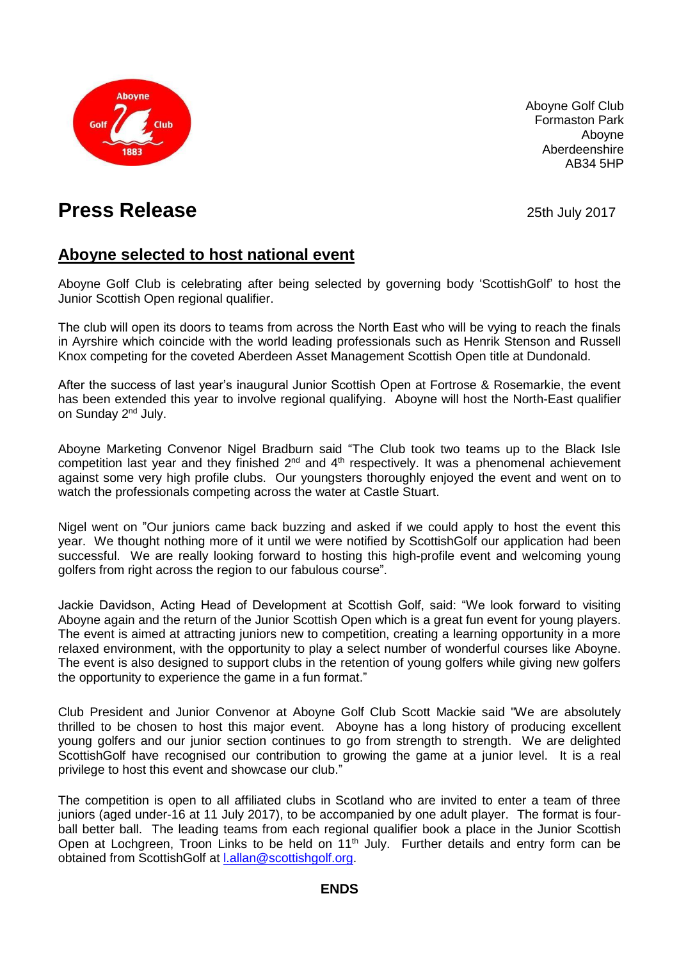

Aboyne Golf Club Formaston Park Aboyne Aberdeenshire AB34 5HP

## **Press Release Press Release 25th July 2017**

## **Aboyne selected to host national event**

Aboyne Golf Club is celebrating after being selected by governing body 'ScottishGolf' to host the Junior Scottish Open regional qualifier.

The club will open its doors to teams from across the North East who will be vying to reach the finals in Ayrshire which coincide with the world leading professionals such as Henrik Stenson and Russell Knox competing for the coveted Aberdeen Asset Management Scottish Open title at Dundonald.

After the success of last year's inaugural Junior Scottish Open at Fortrose & Rosemarkie, the event has been extended this year to involve regional qualifying. Aboyne will host the North-East qualifier on Sunday 2nd July.

Aboyne Marketing Convenor Nigel Bradburn said "The Club took two teams up to the Black Isle competition last year and they finished  $2^{nd}$  and  $4^{th}$  respectively. It was a phenomenal achievement against some very high profile clubs. Our youngsters thoroughly enjoyed the event and went on to watch the professionals competing across the water at Castle Stuart.

Nigel went on "Our juniors came back buzzing and asked if we could apply to host the event this year. We thought nothing more of it until we were notified by ScottishGolf our application had been successful. We are really looking forward to hosting this high-profile event and welcoming young golfers from right across the region to our fabulous course".

Jackie Davidson, Acting Head of Development at Scottish Golf, said: "We look forward to visiting Aboyne again and the return of the Junior Scottish Open which is a great fun event for young players. The event is aimed at attracting juniors new to competition, creating a learning opportunity in a more relaxed environment, with the opportunity to play a select number of wonderful courses like Aboyne. The event is also designed to support clubs in the retention of young golfers while giving new golfers the opportunity to experience the game in a fun format."

Club President and Junior Convenor at Aboyne Golf Club Scott Mackie said "We are absolutely thrilled to be chosen to host this major event. Aboyne has a long history of producing excellent young golfers and our junior section continues to go from strength to strength. We are delighted ScottishGolf have recognised our contribution to growing the game at a junior level. It is a real privilege to host this event and showcase our club."

The competition is open to all affiliated clubs in Scotland who are invited to enter a team of three juniors (aged under-16 at 11 July 2017), to be accompanied by one adult player. The format is fourball better ball. The leading teams from each regional qualifier book a place in the Junior Scottish Open at Lochgreen, Troon Links to be held on 11<sup>th</sup> July. Further details and entry form can be obtained from ScottishGolf at Lallan@scottishgolf.org.